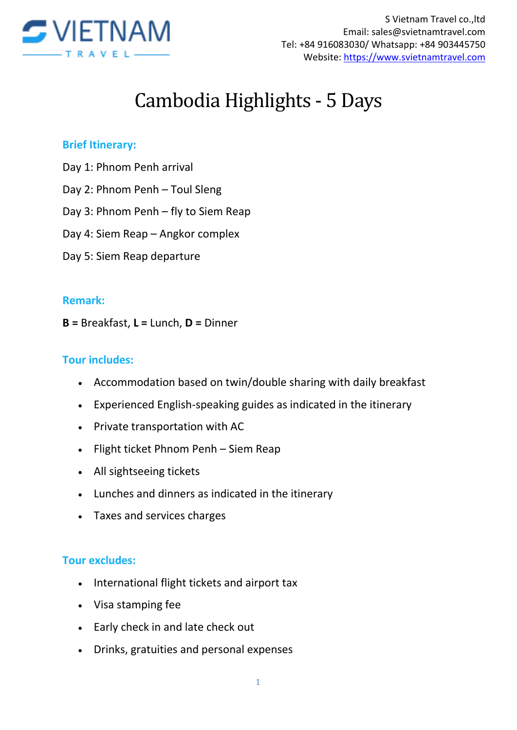

# Cambodia Highlights - 5 Days

## **Brief Itinerary:**

- Day 1: Phnom Penh arrival
- Day 2: Phnom Penh Toul Sleng
- Day 3: Phnom Penh fly to Siem Reap
- Day 4: Siem Reap Angkor complex
- Day 5: Siem Reap departure

## **Remark:**

**B =** Breakfast, **L =** Lunch, **D =** Dinner

## **Tour includes:**

- Accommodation based on twin/double sharing with daily breakfast
- Experienced English-speaking guides as indicated in the itinerary
- Private transportation with AC
- Flight ticket Phnom Penh Siem Reap
- All sightseeing tickets
- Lunches and dinners as indicated in the itinerary
- Taxes and services charges

## **Tour excludes:**

- International flight tickets and airport tax
- Visa stamping fee
- Early check in and late check out
- Drinks, gratuities and personal expenses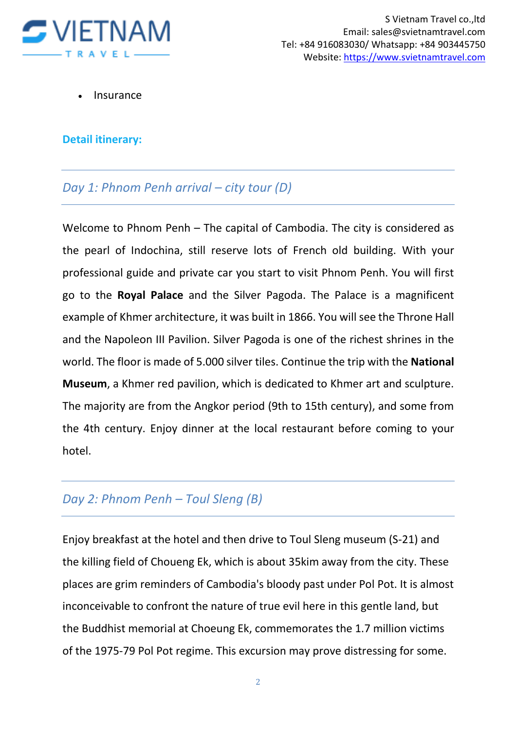

Insurance

#### **Detail itinerary:**

## *Day 1: Phnom Penh arrival – city tour (D)*

Welcome to Phnom Penh – The capital of Cambodia. The city is considered as the pearl of Indochina, still reserve lots of French old building. With your professional guide and private car you start to visit Phnom Penh. You will first go to the **Royal Palace** and the Silver Pagoda. The Palace is a magnificent example of Khmer architecture, it was built in 1866. You will see the Throne Hall and the Napoleon III Pavilion. Silver Pagoda is one of the richest shrines in the world. The floor is made of 5.000 silver tiles. Continue the trip with the **National Museum**, a Khmer red pavilion, which is dedicated to Khmer art and sculpture. The majority are from the Angkor period (9th to 15th century), and some from the 4th century. Enjoy dinner at the local restaurant before coming to your hotel.

## *Day 2: Phnom Penh – Toul Sleng (B)*

Enjoy breakfast at the hotel and then drive to Toul Sleng museum (S-21) and the killing field of Choueng Ek, which is about 35kim away from the city. These places are grim reminders of Cambodia's bloody past under Pol Pot. It is almost inconceivable to confront the nature of true evil here in this gentle land, but the Buddhist memorial at Choeung Ek, commemorates the 1.7 million victims of the 1975-79 Pol Pot regime. This excursion may prove distressing for some.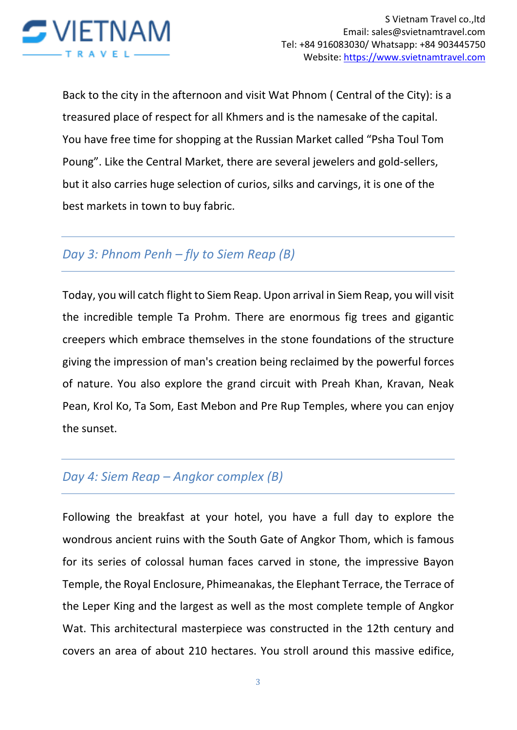

Back to the city in the afternoon and visit Wat Phnom ( Central of the City): is a treasured place of respect for all Khmers and is the namesake of the capital. You have free time for shopping at the Russian Market called "Psha Toul Tom Poung". Like the Central Market, there are several jewelers and gold-sellers, but it also carries huge selection of curios, silks and carvings, it is one of the best markets in town to buy fabric.

# *Day 3: Phnom Penh – fly to Siem Reap (B)*

Today, you will catch flight to Siem Reap. Upon arrival in Siem Reap, you will visit the incredible temple Ta Prohm. There are enormous fig trees and gigantic creepers which embrace themselves in the stone foundations of the structure giving the impression of man's creation being reclaimed by the powerful forces of nature. You also explore the grand circuit with Preah Khan, Kravan, Neak Pean, Krol Ko, Ta Som, East Mebon and Pre Rup Temples, where you can enjoy the sunset.

## *Day 4: Siem Reap – Angkor complex (B)*

Following the breakfast at your hotel, you have a full day to explore the wondrous ancient ruins with the South Gate of Angkor Thom, which is famous for its series of colossal human faces carved in stone, the impressive Bayon Temple, the Royal Enclosure, Phimeanakas, the Elephant Terrace, the Terrace of the Leper King and the largest as well as the most complete temple of Angkor Wat. This architectural masterpiece was constructed in the 12th century and covers an area of about 210 hectares. You stroll around this massive edifice,